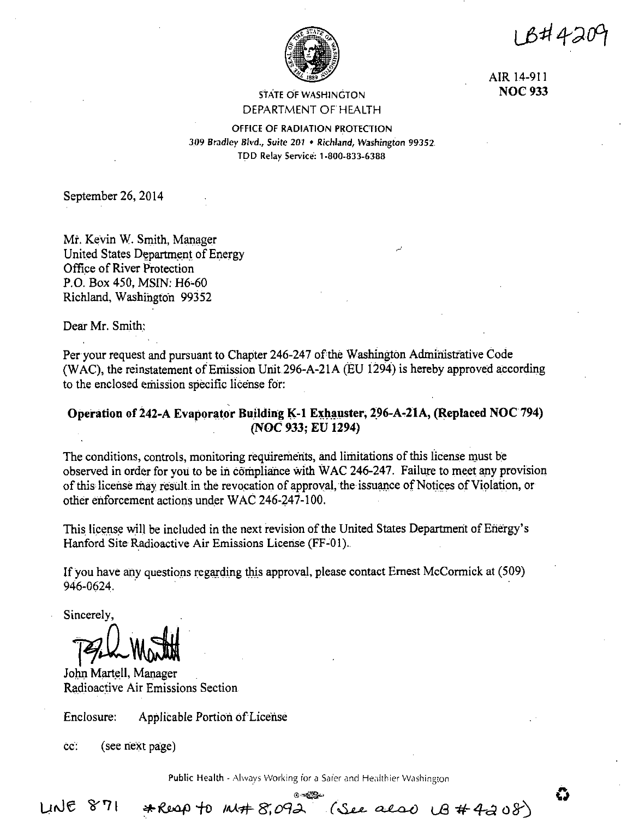18#42

යි



AIR 14-911 **NOC 933** 

## **STATE OF WASHINGTON** DEPARTMENT OF HEALTH

OFFICE OF RADIATION PROTECTION 309 Bradley Blvd., Suite 201 • Richland, Washington 99352. TDD Relay Service: 1-800-833-6388

September 26, 2014

Mr. Kevin W. Smith, Manager United States Department of Energy Office of River Protection P.O. Box 450, MSIN: H6-60 Richland, Washington 99352

Dear Mr. Smith:

Per your request and pursuant to Chapter 246-247 of the Washington Administrative Code (WAC), the reinstatement of Emission Unit 296-A-21A (EU 1294) is hereby approved according to the enclosed emission specific license for:

# Operation of 242-A Evaporator Building K-1 Exhauster, 296-A-21A, (Replaced NOC 794) (NOC 933; EU 1294)

The conditions, controls, monitoring requirements, and limitations of this license must be observed in order for you to be in compliance with WAC 246-247. Failure to meet any provision of this license may result in the revocation of approval, the issuance of Notices of Violation, or other enforcement actions under WAC 246-247-100.

This license will be included in the next revision of the United States Department of Energy's Hanford Site Radioactive Air Emissions License (FF-01).

If you have any questions regarding this approval, please contact Ernest McCormick at (509) 946-0624.

Sincerely,

John Martell, Manager Radioactive Air Emissions Section

Enclosure: Applicable Portion of License

\*Reap to must 8,092

cc. (see next page)

Public Health - Always Working for a Safer and Healthier Washington

**LINE 871**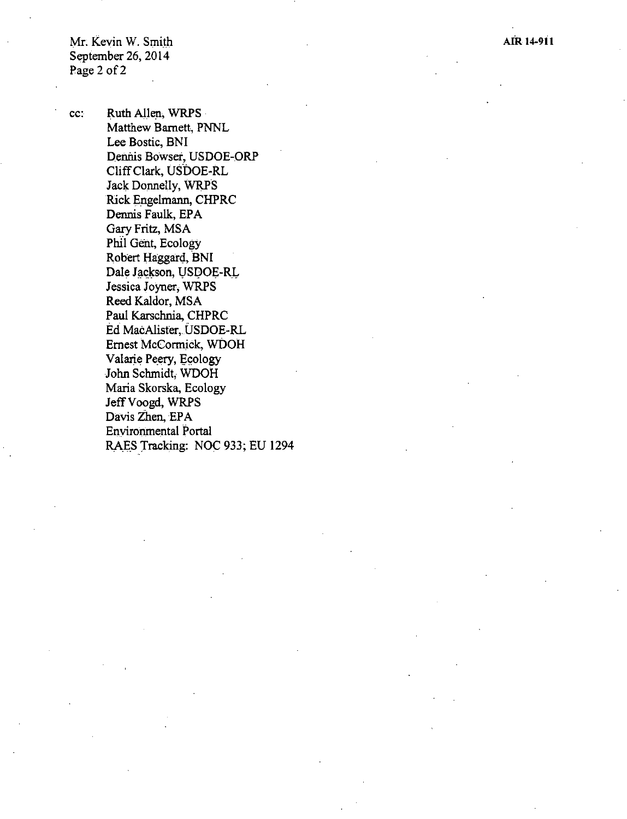AIR **14-911** 

Mr. Kevin W. Smith September 26, 2014 Page 2 of 2

cc: Ruth Allen, WRPS Matthew Barnett, PNNL Lee Bostic, BNI Dennis Bowser, USDOE-ORP Cliff Clark, USDOE-RL Jack Donnelly, WRPS Rick Engelmann, CHPRC Dennis Faulk, EPA Gary Fritz, MSA Phil Gent, Ecology Robert Haggard, BNI Dale Jackson, USDOE-RL Jessica Joyner, WRPS Reed Kaldor, MSA Paul Karschnia, CHPRC Ed MacAlister, USDOE-RL Ernest McCormick, WDOH Valarie Peery, Ecology John Schmidt, WDOH Maria Skorska, Ecology JeffVoogd, WRPS Davis Zhen, EPA Environmental Portal RAES Tracking: NOC 933; EU 1294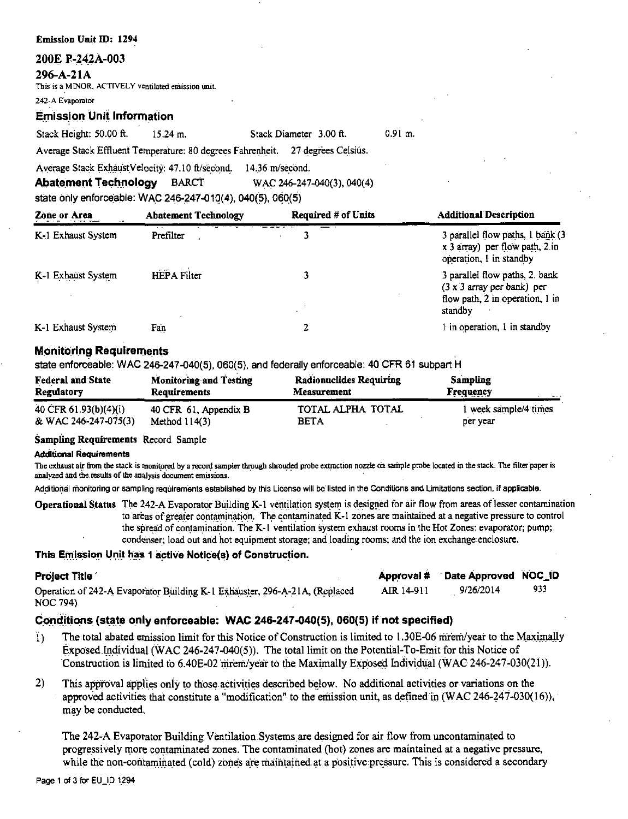#### 200E P-242A-003

#### $296 - A - 21A$

This is a MINOR, ACTIVELY ventilated emission unit.

242-A Evaporator

**Emission Unit Information** 

Stack Height: 50.00 ft.  $15.24$  m.

 $0.91$  m. Stack Diameter 3.00 ft.

Average Stack Effluent Temperature: 80 degrees Fahrenheit. 27 degrees Celsius.

Average Stack ExhaustVelocity: 47.10 ft/second. 14.36 m/second.

**Abatement Technology BARCT** 

state only enforceable: WAC 246-247-010(4), 040(5), 060(5)

| Zone or Area       | <b>Abatement Technology</b> | Required # of Units | <b>Additional Description</b>                                                                  |
|--------------------|-----------------------------|---------------------|------------------------------------------------------------------------------------------------|
| K-1 Exhaust System | Prefilter                   |                     | 3 parallel flow paths, 1 bank (3)<br>x 3 array) per flow path, 2 in<br>operation, I in standby |
| K-1 Exhaust System | <b>HEPA</b> Filter          | 3                   | 3 parallel flow paths, 2 bank<br>(3 x 3 array per bank) per<br>flow path, 2 in operation, 1 in |
|                    |                             |                     | standby                                                                                        |
| K-1 Exhaust System | Fan                         |                     | 1 in operation, 1 in standby                                                                   |

WAC 246-247-040(3), 040(4)

## **Monitoring Requirements**

state enforceable: WAC 246-247-040(5), 060(5), and federally enforceable: 40 CFR 61 subpart H

| <b>Federal and State</b><br><b>Regulatory</b>      | <b>Monitoring and Testing</b><br>Requirements | <b>Radionuclides Requiring</b><br><b>Measurement</b> | <b>Sampling</b><br>Frequency<br>$-1$ |
|----------------------------------------------------|-----------------------------------------------|------------------------------------------------------|--------------------------------------|
| $40 \ \text{CFR} \ 61.93 \text{(b)} \frac{(4)}{1}$ | 40 CFR 61, Appendix B                         | TOTAL ALPHA TOTAL                                    | 1 week sample/4 times                |
| & WAC 246-247-075(3)                               | Method $114(3)$                               | <b>BETA</b>                                          | per year                             |

## Sampling Requirements Record Sample

#### **Additional Requirements**

The exhaust air from the stack is monitored by a record sampler through shrouded probe extraction nozzle on sample probe located in the stack. The filter paper is analyzed and the results of the analysis document emissions.

Additional monitoring or sampling requirements established by this License will be listed in the Conditions and Limitations section, if applicable.

**Operational Status** The 242-A Evaporator Building K-1 ventilation system is designed for air flow from areas of lesser contamination to areas of greater contamination. The contaminated K-1 zones are maintained at a negative pressure to control the spread of contamination. The K-1 ventilation system exhaust rooms in the Hot Zones: evaporator; pump; condenser; load out and hot equipment storage; and loading rooms; and the ion exchange enclosure.

Approval # Date Approved NOC ID

## This Emission Unit has 1 active Notice(s) of Construction.

## **Project Title**

| -----------                                                                |                   |           |      |
|----------------------------------------------------------------------------|-------------------|-----------|------|
| Operation of 242-A Evaporator Building K-1 Exhauster, 296-A-21A, (Replaced | <b>AIR</b> 14-911 | 9/26/2014 | -933 |
| NOC 794)                                                                   |                   |           |      |

# Conditions (state only enforceable: WAC 246-247-040(5), 060(5) if not specified)

- The total abated emission limit for this Notice of Construction is limited to 1.30E-06 mrem/year to the Maximally Ï) Exposed Individual (WAC 246-247-040(5)). The total limit on the Potential-To-Emit for this Notice of Construction is limited to 6.40E-02 mrem/year to the Maximally Exposed Individual (WAC 246-247-030(21)).
- $2)$ This approval applies only to those activities described below. No additional activities or variations on the approved activities that constitute a "modification" to the emission unit, as defined in  $(WAC 246-247-030(16))$ , may be conducted.

The 242-A Evaporator Building Ventilation Systems are designed for air flow from uncontaminated to progressively more contaminated zones. The contaminated (hot) zones are maintained at a negative pressure, while the non-contaminated (cold) zones are maintained at a positive pressure. This is considered a secondary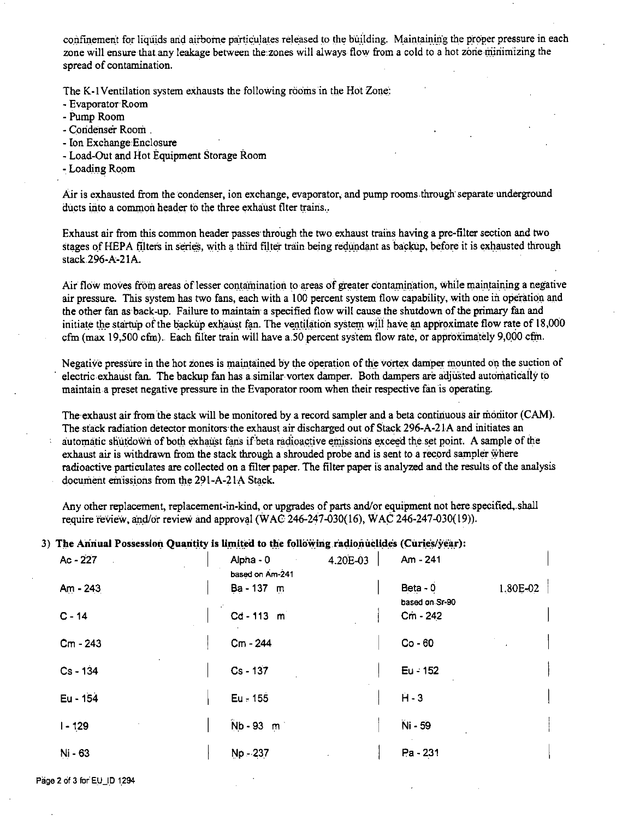confinement for liquids and airborne particulates released to the building. Maintaining the proper pressure in each zone will ensure that.any leakage between the zones will always flow from a cold to a hot zorie miriimizing the spread of contamination.

The K-1 Ventilation system exhausts the following rooms in the Hot Zone:

- Evaporator Room
- Pump Room
- Condenser Room .
- Ion Exchange Enclosure
- Load-Out and Hot Equipment Storage Room
- Loading Room

Air is exhausted from the condenser, ion exchange, evaporator, and pump rooms through separate underground ducts into a common header to the three exhaust flter trains...

Exhaust air from this common header passes· through the two. exhaust trains having a pre-tilter section and two stages of HEPA filters in series, with a third filter train being redundant as backup, before it is exhausted through stack296-A-21A.

Air flow moves from areas of lesser contamination to areas of greater contamination, while maintaining a negative air pressure. This system has two fans, each with a 100 percent system flow capability, with one in operation and the other fan as back-up. Failure to maintain a specified flow will cause the shutdown of the primary fan and initiate the startup of the backup exhaust fan. The ventilation system will have an approximate flow rate of 18,000 cfm (max 19,500 cfm). Each filter train will have a.50 percent system flow rate, or approximately 9,000 cfm.

Negative pressure in the hot zones is maintained by the operation of the vortex damper mounted on the suction of electric exhaust fan. The backup fan has a similar vortex damper. Both dampers are adjusted automatically to maintain a preset negative pressure in the Evaporator room when their respective fan is operating.

The exhaust air from the stack will be monitored by a record sampler and a beta continuous air monitor (CAM). The stack radiation detector monitors·the exhaust air discharged out of Stack 296-A-2 lA and initiates an automatic shutdown of both exhaust fans if beta radioactive emissions exceed the set point. A sample of the exhaust air is withdrawn from the stack through a shrouded probe and is sent to a record sampler where radioactive particulates are collected on a filter paper. The tilter paper is analyzed and the results of the analysis document emissions from the 291-A-21A Stack.

Any other replacement, replacement:in-kind, or upgrades of parts and/or equipment not here specified,.shall require review, and/or review and approval (WAC 246-247-030(16), WAC 246-247-030(19)).

## 3) The Annual Possession Quantity is limited to the following radionuclides (Curies/year):

| $Ac - 227$ | Alpha - 0       | 4.20E-03 | Am - 241       |            |
|------------|-----------------|----------|----------------|------------|
|            | based on Am-241 |          |                |            |
| $Am - 243$ | Ba - 137 m      |          | Beta - 0       | $1,80E-02$ |
|            |                 |          | based on Sr-90 |            |
| $C - 14$   | Cd-113 m        |          | Cm - 242       |            |
|            |                 |          |                |            |
| Cm - 243   | Cm - 244        |          | $Co - 60$      |            |
| $Cs - 134$ | $Cs - 137$      |          | Eu - 152       |            |
|            |                 |          |                |            |
| Eu - 154   | $Eu = 155$      |          | $H - 3$        |            |
|            |                 |          |                |            |
| $1 - 129$  | $Nb - 93 m$     |          | Ni - 59        |            |
|            |                 |          |                |            |
| Ni - 63    | $Np - 237$      |          | Pa - 231       |            |